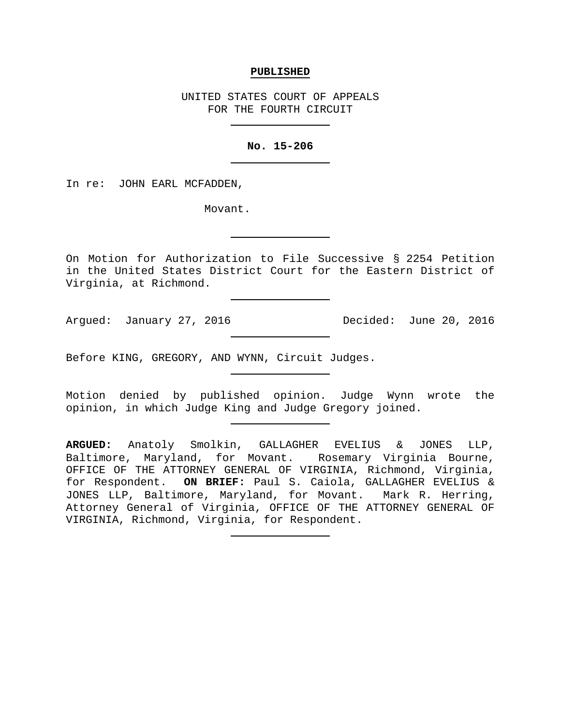### **PUBLISHED**

UNITED STATES COURT OF APPEALS FOR THE FOURTH CIRCUIT

## **No. 15-206**

In re: JOHN EARL MCFADDEN,

Movant.

On Motion for Authorization to File Successive § 2254 Petition in the United States District Court for the Eastern District of Virginia, at Richmond.

Argued: January 27, 2016 Decided: June 20, 2016

Before KING, GREGORY, AND WYNN, Circuit Judges.

Motion denied by published opinion. Judge Wynn wrote the opinion, in which Judge King and Judge Gregory joined.

**ARGUED:** Anatoly Smolkin, GALLAGHER EVELIUS & JONES LLP, Baltimore, Maryland, for Movant. Rosemary Virginia Bourne, OFFICE OF THE ATTORNEY GENERAL OF VIRGINIA, Richmond, Virginia, for Respondent. **ON BRIEF:** Paul S. Caiola, GALLAGHER EVELIUS & JONES LLP, Baltimore, Maryland, for Movant. Attorney General of Virginia, OFFICE OF THE ATTORNEY GENERAL OF VIRGINIA, Richmond, Virginia, for Respondent.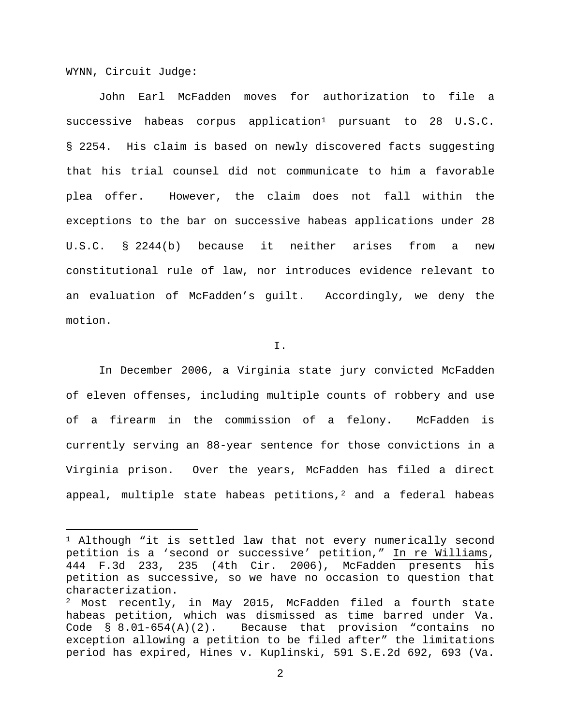WYNN, Circuit Judge:

l

John Earl McFadden moves for authorization to file a successive habeas corpus application<sup>[1](#page-1-0)</sup> pursuant to 28 U.S.C. § 2254. His claim is based on newly discovered facts suggesting that his trial counsel did not communicate to him a favorable plea offer. However, the claim does not fall within the exceptions to the bar on successive habeas applications under 28 U.S.C. § 2244(b) because it neither arises from a new constitutional rule of law, nor introduces evidence relevant to an evaluation of McFadden's guilt. Accordingly, we deny the motion.

I.

In December 2006, a Virginia state jury convicted McFadden of eleven offenses, including multiple counts of robbery and use of a firearm in the commission of a felony. McFadden is currently serving an 88-year sentence for those convictions in a Virginia prison. Over the years, McFadden has filed a direct appeal, multiple state habeas petitions, $^2$  $^2$  and a federal habeas

<span id="page-1-0"></span><sup>&</sup>lt;sup>1</sup> Although "it is settled law that not every numerically second petition is a 'second or successive' petition," In re Williams, 444 F.3d 233, 235 (4th Cir. 2006), McFadden presents his petition as successive, so we have no occasion to question that characterization.

<span id="page-1-1"></span><sup>2</sup> Most recently, in May 2015, McFadden filed a fourth state habeas petition, which was dismissed as time barred under Va. Code § 8.01-654(A)(2). Because that provision "contains no exception allowing a petition to be filed after" the limitations period has expired, Hines v. Kuplinski, 591 S.E.2d 692, 693 (Va.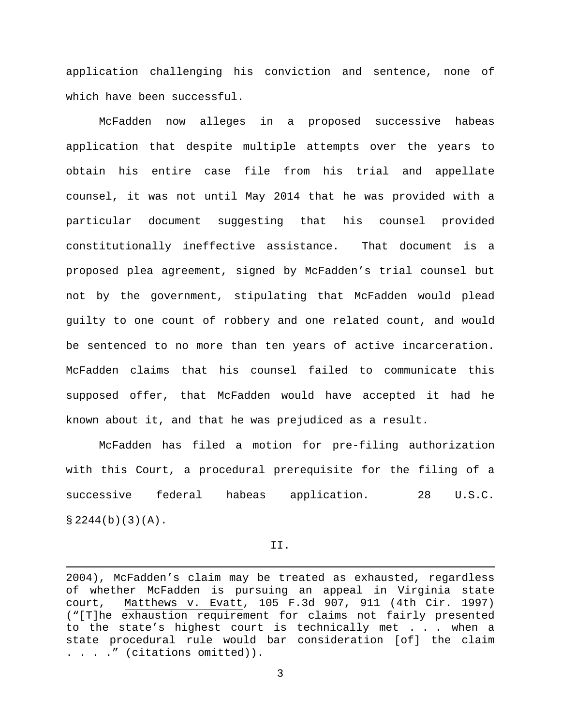application challenging his conviction and sentence, none of which have been successful.

McFadden now alleges in a proposed successive habeas application that despite multiple attempts over the years to obtain his entire case file from his trial and appellate counsel, it was not until May 2014 that he was provided with a particular document suggesting that his counsel provided constitutionally ineffective assistance. That document is a proposed plea agreement, signed by McFadden's trial counsel but not by the government, stipulating that McFadden would plead guilty to one count of robbery and one related count, and would be sentenced to no more than ten years of active incarceration. McFadden claims that his counsel failed to communicate this supposed offer, that McFadden would have accepted it had he known about it, and that he was prejudiced as a result.

McFadden has filed a motion for pre-filing authorization with this Court, a procedural prerequisite for the filing of a successive federal habeas application. 28 U.S.C.  $$2244(b)(3)(A).$ 

II.

l

<sup>2004),</sup> McFadden's claim may be treated as exhausted, regardless of whether McFadden is pursuing an appeal in Virginia state<br>court, Matthews v. Evatt, 105 F.3d 907, 911 (4th Cir. 1997) Matthews v. Evatt, 105 F.3d 907, 911 (4th Cir. 1997) ("[T]he exhaustion requirement for claims not fairly presented to the state's highest court is technically met . . . when a state procedural rule would bar consideration [of] the claim . . . ." (citations omitted)).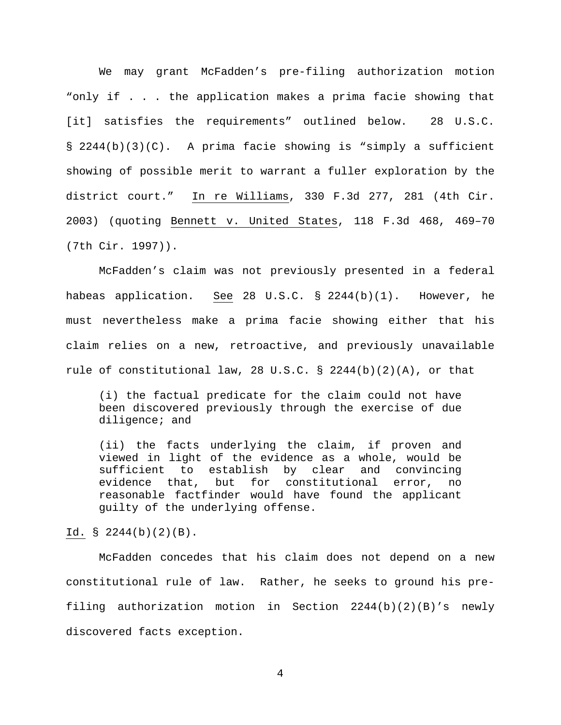We may grant McFadden's pre-filing authorization motion "only if . . . the application makes a prima facie showing that [it] satisfies the requirements" outlined below. 28 U.S.C. § 2244(b)(3)(C). A prima facie showing is "simply a sufficient showing of possible merit to warrant a fuller exploration by the district court." In re Williams, 330 F.3d 277, 281 (4th Cir. 2003) (quoting Bennett v. United States, 118 F.3d 468, 469–70 (7th Cir. 1997)).

McFadden's claim was not previously presented in a federal habeas application. See 28 U.S.C. § 2244(b)(1). However, he must nevertheless make a prima facie showing either that his claim relies on a new, retroactive, and previously unavailable rule of constitutional law, 28 U.S.C. § 2244(b)(2)(A), or that

(i) the factual predicate for the claim could not have been discovered previously through the exercise of due diligence; and

(ii) the facts underlying the claim, if proven and viewed in light of the evidence as a whole, would be sufficient to establish by clear and convincing<br>evidence that, but for constitutional error, no but for constitutional error, no reasonable factfinder would have found the applicant guilty of the underlying offense.

# Id. § 2244(b)(2)(B).

McFadden concedes that his claim does not depend on a new constitutional rule of law. Rather, he seeks to ground his prefiling authorization motion in Section  $2244(b)(2)(B)'s$  newly discovered facts exception.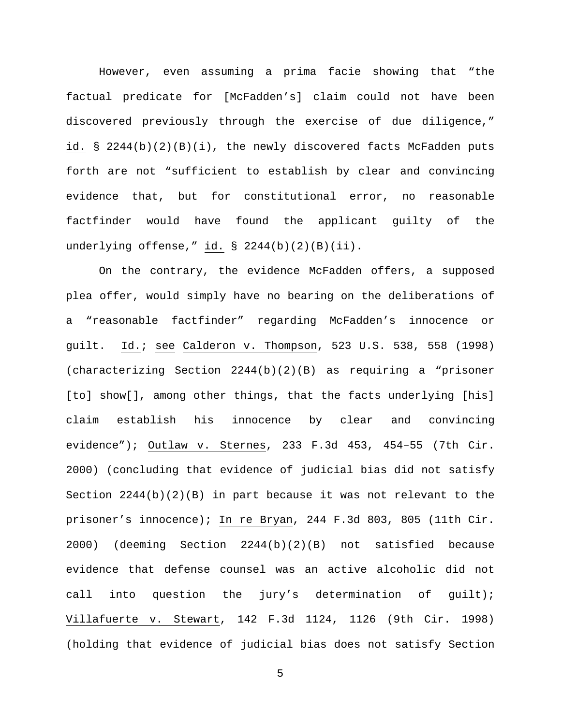However, even assuming a prima facie showing that "the factual predicate for [McFadden's] claim could not have been discovered previously through the exercise of due diligence," id. § 2244(b)(2)(B)(i), the newly discovered facts McFadden puts forth are not "sufficient to establish by clear and convincing evidence that, but for constitutional error, no reasonable factfinder would have found the applicant guilty of the underlying offense," id. § 2244(b)(2)(B)(ii).

On the contrary, the evidence McFadden offers, a supposed plea offer, would simply have no bearing on the deliberations of a "reasonable factfinder" regarding McFadden's innocence or guilt. Id.; see Calderon v. Thompson, 523 U.S. 538, 558 (1998) (characterizing Section 2244(b)(2)(B) as requiring a "prisoner [to] show[], among other things, that the facts underlying [his] claim establish his innocence by clear and convincing evidence"); Outlaw v. Sternes, 233 F.3d 453, 454–55 (7th Cir. 2000) (concluding that evidence of judicial bias did not satisfy Section  $2244(b)(2)(B)$  in part because it was not relevant to the prisoner's innocence); In re Bryan, 244 F.3d 803, 805 (11th Cir. 2000) (deeming Section 2244(b)(2)(B) not satisfied because evidence that defense counsel was an active alcoholic did not call into question the jury's determination of guilt); Villafuerte v. Stewart, 142 F.3d 1124, 1126 (9th Cir. 1998) (holding that evidence of judicial bias does not satisfy Section